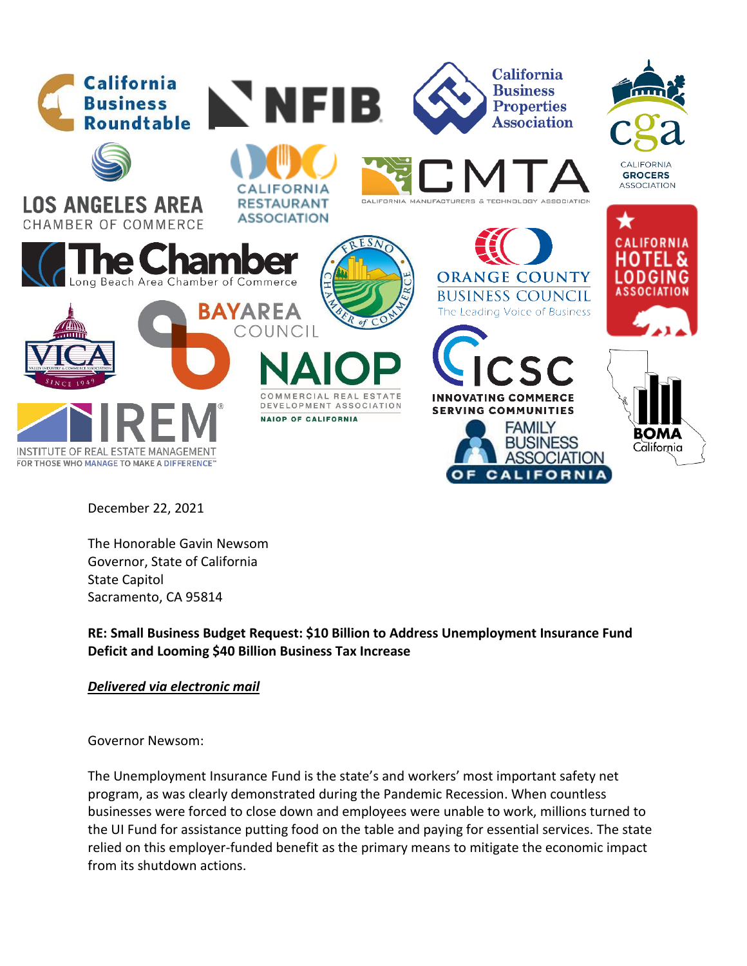

December 22, 2021

The Honorable Gavin Newsom Governor, State of California State Capitol Sacramento, CA 95814

**RE: Small Business Budget Request: \$10 Billion to Address Unemployment Insurance Fund Deficit and Looming \$40 Billion Business Tax Increase** 

## *Delivered via electronic mail*

Governor Newsom:

The Unemployment Insurance Fund is the state's and workers' most important safety net program, as was clearly demonstrated during the Pandemic Recession. When countless businesses were forced to close down and employees were unable to work, millions turned to the UI Fund for assistance putting food on the table and paying for essential services. The state relied on this employer-funded benefit as the primary means to mitigate the economic impact from its shutdown actions.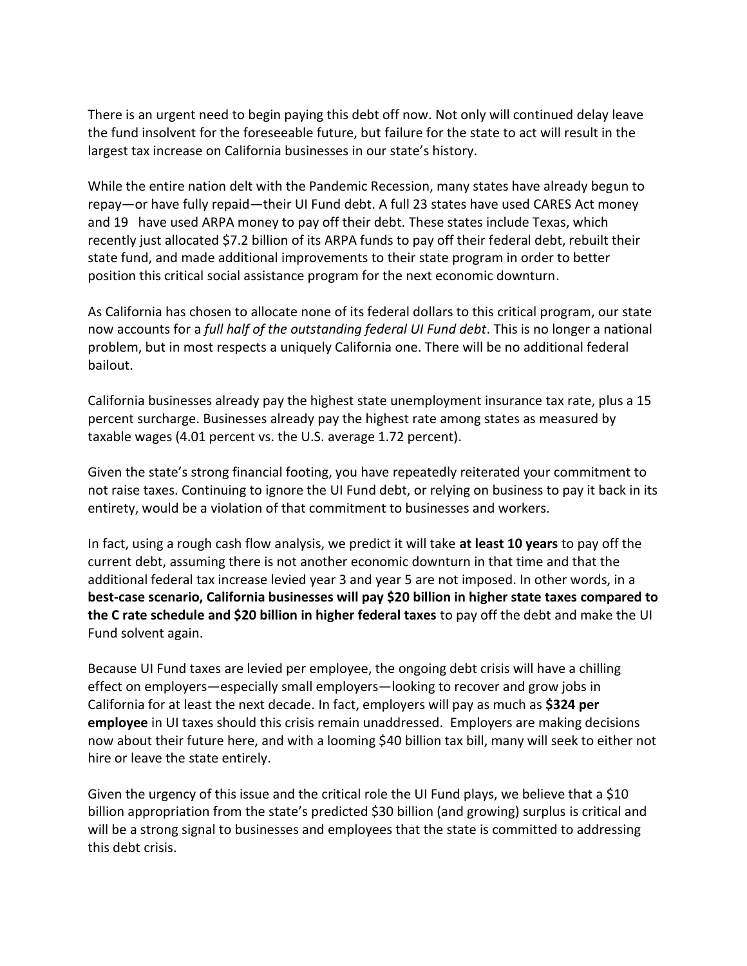There is an urgent need to begin paying this debt off now. Not only will continued delay leave the fund insolvent for the foreseeable future, but failure for the state to act will result in the largest tax increase on California businesses in our state's history.

While the entire nation delt with the Pandemic Recession, many states have already begun to repay—or have fully repaid—their UI Fund debt. A full 23 states have used CARES Act money and 19 have used ARPA money to pay off their debt. These states include Texas, which recently just allocated \$7.2 billion of its ARPA funds to pay off their federal debt, rebuilt their state fund, and made additional improvements to their state program in order to better position this critical social assistance program for the next economic downturn.

As California has chosen to allocate none of its federal dollars to this critical program, our state now accounts for a *full half of the outstanding federal UI Fund debt*. This is no longer a national problem, but in most respects a uniquely California one. There will be no additional federal bailout.

California businesses already pay the highest state unemployment insurance tax rate, plus a 15 percent surcharge. Businesses already pay the highest rate among states as measured by taxable wages (4.01 percent vs. the U.S. average 1.72 percent).

Given the state's strong financial footing, you have repeatedly reiterated your commitment to not raise taxes. Continuing to ignore the UI Fund debt, or relying on business to pay it back in its entirety, would be a violation of that commitment to businesses and workers.

In fact, using a rough cash flow analysis, we predict it will take **at least 10 years** to pay off the current debt, assuming there is not another economic downturn in that time and that the additional federal tax increase levied year 3 and year 5 are not imposed. In other words, in a **best-case scenario, California businesses will pay \$20 billion in higher state taxes compared to the C rate schedule and \$20 billion in higher federal taxes** to pay off the debt and make the UI Fund solvent again.

Because UI Fund taxes are levied per employee, the ongoing debt crisis will have a chilling effect on employers—especially small employers—looking to recover and grow jobs in California for at least the next decade. In fact, employers will pay as much as **\$324 per employee** in UI taxes should this crisis remain unaddressed. Employers are making decisions now about their future here, and with a looming \$40 billion tax bill, many will seek to either not hire or leave the state entirely.

Given the urgency of this issue and the critical role the UI Fund plays, we believe that a \$10 billion appropriation from the state's predicted \$30 billion (and growing) surplus is critical and will be a strong signal to businesses and employees that the state is committed to addressing this debt crisis.